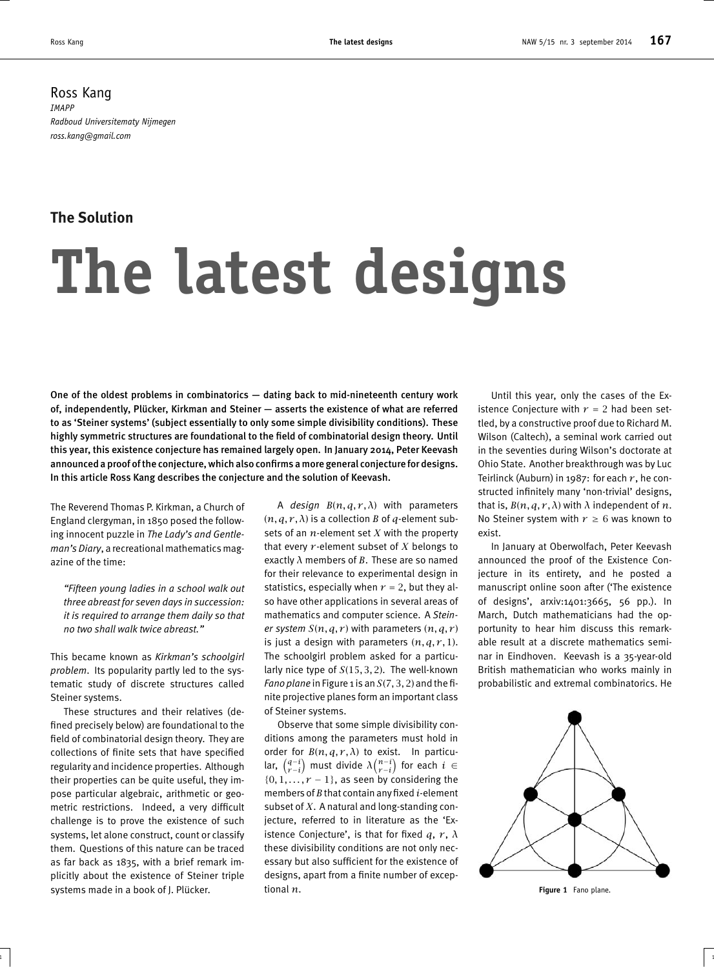Ross Kang *IMAPP Radboud Universitematy Nijmegen ross.kang@gmail.com*

## **The Solution**

## **The latest designs**

One of the oldest problems in combinatorics — dating back to mid-nineteenth century work of, independently, Plücker, Kirkman and Steiner — asserts the existence of what are referred to as 'Steiner systems' (subject essentially to only some simple divisibility conditions). These highly symmetric structures are foundational to the field of combinatorial design theory. Until this year, this existence conjecture has remained largely open. In January 2014, Peter Keevash announced a proof of the conjecture, which also confirms a more general conjecture for designs. In this article Ross Kang describes the conjecture and the solution of Keevash.

The Reverend Thomas P. Kirkman, a Church of England clergyman, in 1850 posed the following innocent puzzle in *The Lady's and Gentleman's Diary*, a recreational mathematics magazine of the time:

*"Fifteen young ladies in a school walk out three abreast for seven days in succession: it is required to arrange them daily so that no two shall walk twice abreast."*

This became known as *Kirkman's schoolgirl problem*. Its popularity partly led to the systematic study of discrete structures called Steiner systems.

These structures and their relatives (defined precisely below) are foundational to the field of combinatorial design theory. They are collections of finite sets that have specified regularity and incidence properties. Although their properties can be quite useful, they impose particular algebraic, arithmetic or geometric restrictions. Indeed, a very difficult challenge is to prove the existence of such systems, let alone construct, count or classify them. Questions of this nature can be traced as far back as 1835, with a brief remark implicitly about the existence of Steiner triple systems made in a book of J. Plücker.

A *design B*(*n, q, r, λ*) with parameters  $(n, q, r, \lambda)$  is a collection *B* of *q*-element subsets of an *n*-element set *X* with the property that every *r* -element subset of *X* belongs to exactly *λ* members of *B*. These are so named for their relevance to experimental design in statistics, especially when  $r = 2$ , but they also have other applications in several areas of mathematics and computer science. A *Steiner system*  $S(n, q, r)$  with parameters  $(n, q, r)$ is just a design with parameters  $(n, q, r, 1)$ . The schoolgirl problem asked for a particularly nice type of *S*(15*,* 3*,* 2). The well-known *Fano plane* in Figure 1 is an *S*(7*,* 3*,* 2) and the finite projective planes form an important class of Steiner systems.

Observe that some simple divisibility conditions among the parameters must hold in order for  $B(n, q, r, \lambda)$  to exist. In particular,  $\begin{pmatrix} q-i \\ r-i \end{pmatrix}$  must divide  $\lambda \begin{pmatrix} n-i \\ r-i \end{pmatrix}$  for each  $i \in$  $\{0, 1, \ldots, r - 1\}$ , as seen by considering the members of*B* that contain any fixed *i*-element subset of *X*. A natural and long-standing conjecture, referred to in literature as the 'Existence Conjecture', is that for fixed  $q, r, \lambda$ these divisibility conditions are not only necessary but also sufficient for the existence of designs, apart from a finite number of exceptional *n*.

 $\frac{1}{1}$  1

Until this year, only the cases of the Existence Conjecture with  $r = 2$  had been settled, by a constructive proof due to Richard M. Wilson (Caltech), a seminal work carried out in the seventies during Wilson's doctorate at Ohio State. Another breakthrough was by Luc Teirlinck (Auburn) in 1987: for each  $r$ , he constructed infinitely many 'non-trivial' designs, that is,  $B(n, q, r, \lambda)$  with  $\lambda$  independent of  $n$ . No Steiner system with  $r \geq 6$  was known to exist.

In January at Oberwolfach, Peter Keevash announced the proof of the Existence Conjecture in its entirety, and he posted a manuscript online soon after ('The existence of designs', arxiv:1401:3665, 56 pp.). In March, Dutch mathematicians had the opportunity to hear him discuss this remarkable result at a discrete mathematics seminar in Eindhoven. Keevash is a 35-year-old British mathematician who works mainly in probabilistic and extremal combinatorics. He



**Figure 1** Fano plane.